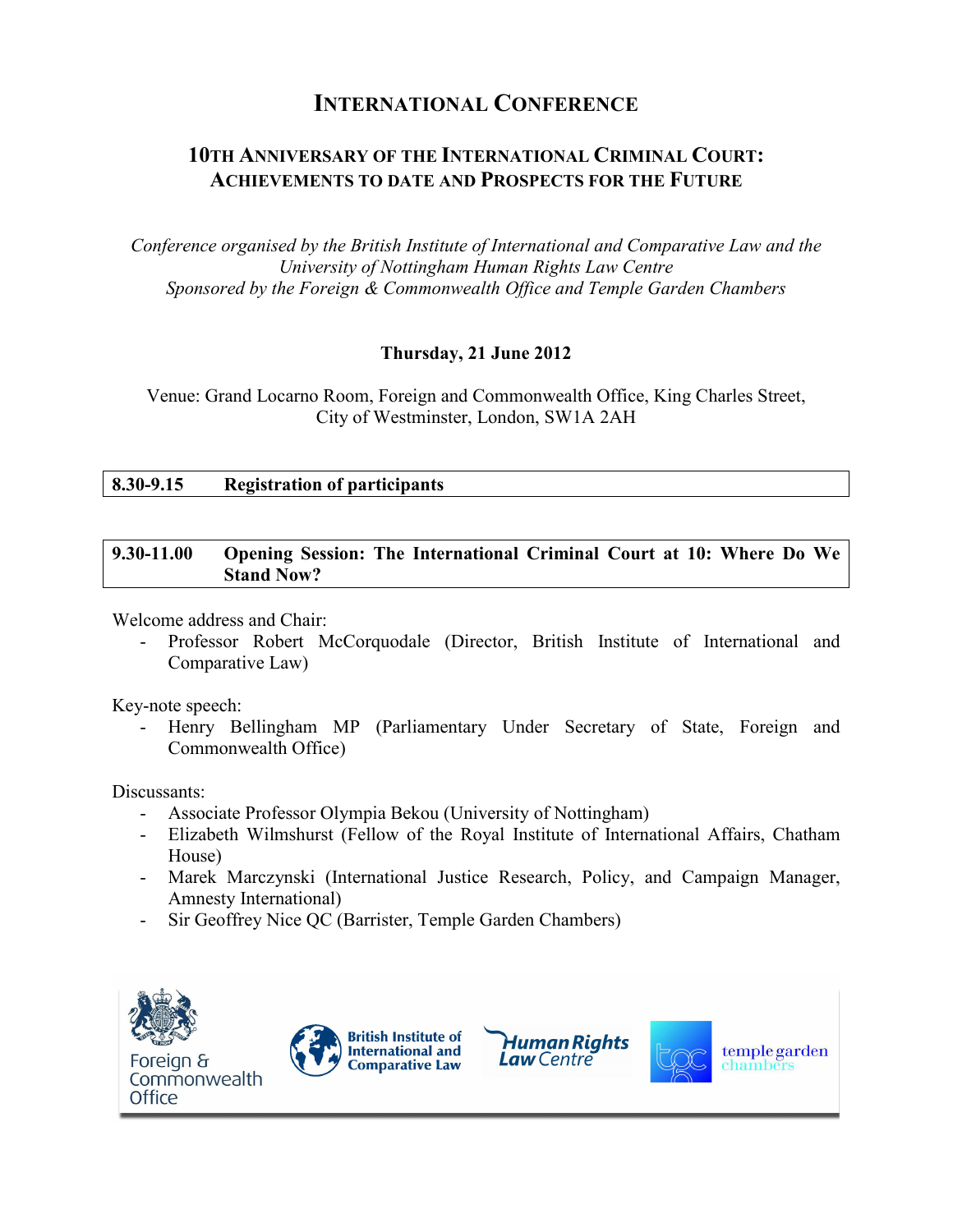# **INTERNATIONAL CONFERENCE**

# **10TH ANNIVERSARY OF THE INTERNATIONAL CRIMINAL COURT: ACHIEVEMENTS TO DATE AND PROSPECTS FOR THE FUTURE**

*Conference organised by the British Institute of International and Comparative Law and the University of Nottingham Human Rights Law Centre Sponsored by the Foreign & Commonwealth Office and Temple Garden Chambers* 

# **Thursday, 21 June 2012**

Venue: Grand Locarno Room, Foreign and Commonwealth Office, King Charles Street, City of Westminster, London, SW1A 2AH

## **8.30-9.15 Registration of participants**

#### **9.30-11.00 Opening Session: The International Criminal Court at 10: Where Do We Stand Now?**

Welcome address and Chair:

Professor Robert McCorquodale (Director, British Institute of International and Comparative Law)

Key-note speech:

- Henry Bellingham MP (Parliamentary Under Secretary of State, Foreign and Commonwealth Office)

Discussants:

- Associate Professor Olympia Bekou (University of Nottingham)
- Elizabeth Wilmshurst (Fellow of the Royal Institute of International Affairs, Chatham House)
- Marek Marczynski (International Justice Research, Policy, and Campaign Manager, Amnesty International)
- Sir Geoffrey Nice QC (Barrister, Temple Garden Chambers)

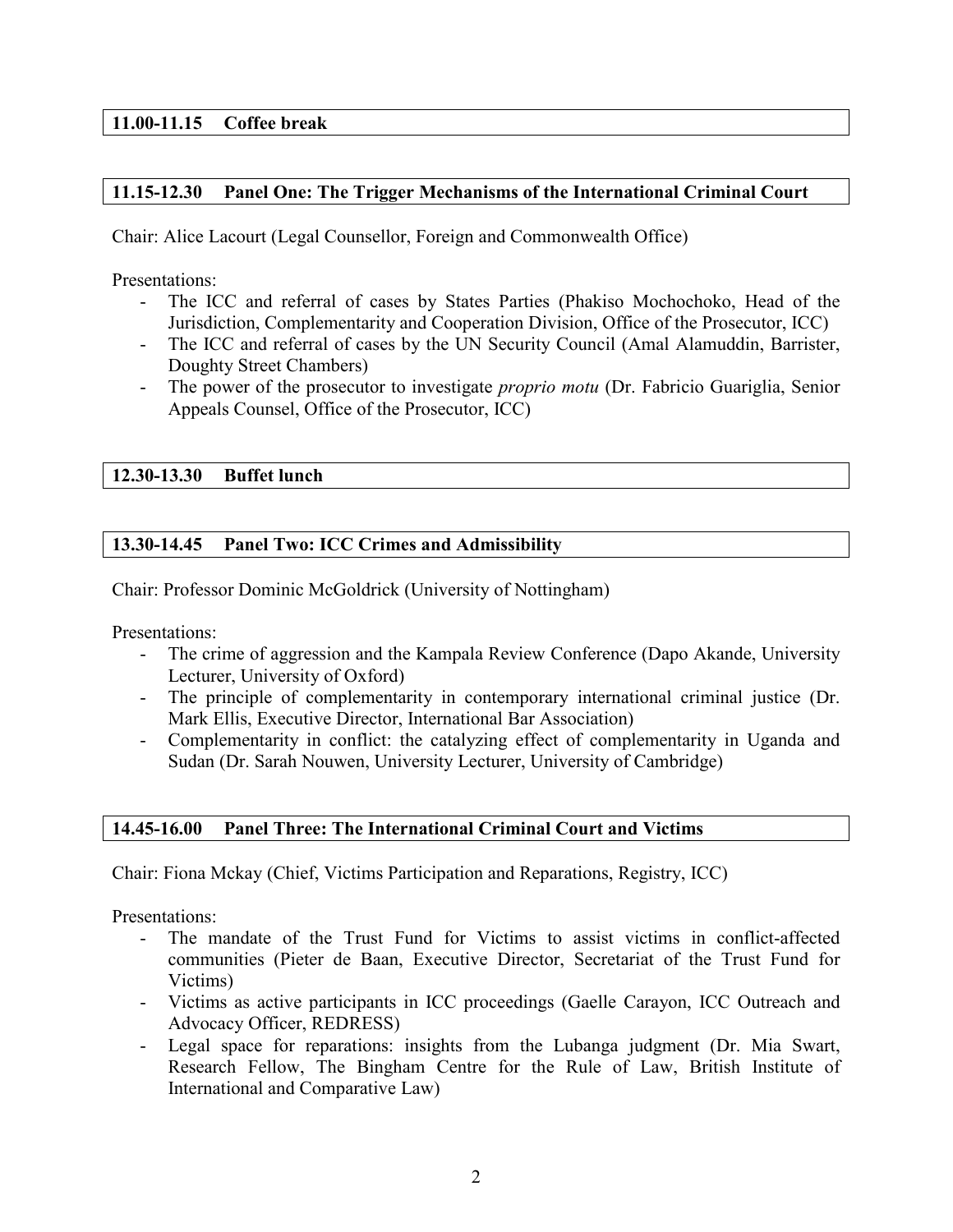# **11.00-11.15 Coffee break**

## **11.15-12.30 Panel One: The Trigger Mechanisms of the International Criminal Court**

Chair: Alice Lacourt (Legal Counsellor, Foreign and Commonwealth Office)

Presentations:

- The ICC and referral of cases by States Parties (Phakiso Mochochoko, Head of the Jurisdiction, Complementarity and Cooperation Division, Office of the Prosecutor, ICC)
- The ICC and referral of cases by the UN Security Council (Amal Alamuddin, Barrister, Doughty Street Chambers)
- The power of the prosecutor to investigate *proprio motu* (Dr. Fabricio Guariglia, Senior Appeals Counsel, Office of the Prosecutor, ICC)

## **12.30-13.30 Buffet lunch**

## **13.30-14.45 Panel Two: ICC Crimes and Admissibility**

Chair: Professor Dominic McGoldrick (University of Nottingham)

Presentations:

- The crime of aggression and the Kampala Review Conference (Dapo Akande, University Lecturer, University of Oxford)
- The principle of complementarity in contemporary international criminal justice (Dr. Mark Ellis, Executive Director, International Bar Association)
- Complementarity in conflict: the catalyzing effect of complementarity in Uganda and Sudan (Dr. Sarah Nouwen, University Lecturer, University of Cambridge)

## **14.45-16.00 Panel Three: The International Criminal Court and Victims**

Chair: Fiona Mckay (Chief, Victims Participation and Reparations, Registry, ICC)

Presentations:

- The mandate of the Trust Fund for Victims to assist victims in conflict-affected communities (Pieter de Baan, Executive Director, Secretariat of the Trust Fund for Victims)
- Victims as active participants in ICC proceedings (Gaelle Carayon, ICC Outreach and Advocacy Officer, REDRESS)
- Legal space for reparations: insights from the Lubanga judgment (Dr. Mia Swart, Research Fellow, The Bingham Centre for the Rule of Law, British Institute of International and Comparative Law)